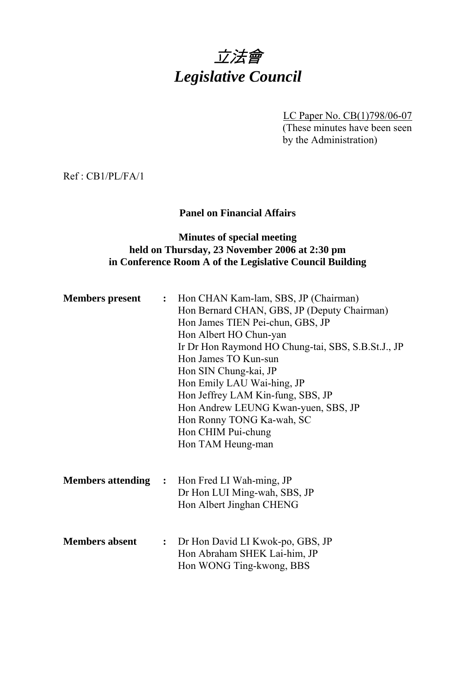# 立法會 *Legislative Council*

LC Paper No. CB(1)798/06-07 (These minutes have been seen by the Administration)

Ref : CB1/PL/FA/1

## **Panel on Financial Affairs**

## **Minutes of special meeting held on Thursday, 23 November 2006 at 2:30 pm in Conference Room A of the Legislative Council Building**

| <b>Members present</b> | : Hon CHAN Kam-lam, SBS, JP (Chairman)              |
|------------------------|-----------------------------------------------------|
|                        | Hon Bernard CHAN, GBS, JP (Deputy Chairman)         |
|                        | Hon James TIEN Pei-chun, GBS, JP                    |
|                        | Hon Albert HO Chun-yan                              |
|                        | Ir Dr Hon Raymond HO Chung-tai, SBS, S.B.St.J., JP  |
|                        | Hon James TO Kun-sun                                |
|                        | Hon SIN Chung-kai, JP                               |
|                        | Hon Emily LAU Wai-hing, JP                          |
|                        | Hon Jeffrey LAM Kin-fung, SBS, JP                   |
|                        | Hon Andrew LEUNG Kwan-yuen, SBS, JP                 |
|                        | Hon Ronny TONG Ka-wah, SC                           |
|                        | Hon CHIM Pui-chung                                  |
|                        | Hon TAM Heung-man                                   |
|                        |                                                     |
|                        |                                                     |
|                        | <b>Members attending :</b> Hon Fred LI Wah-ming, JP |
|                        | Dr Hon LUI Ming-wah, SBS, JP                        |
|                        | Hon Albert Jinghan CHENG                            |
|                        |                                                     |
|                        |                                                     |
| <b>Members absent</b>  | : Dr Hon David LI Kwok-po, GBS, JP                  |
|                        | Hon Abraham SHEK Lai-him, JP                        |
|                        | Hon WONG Ting-kwong, BBS                            |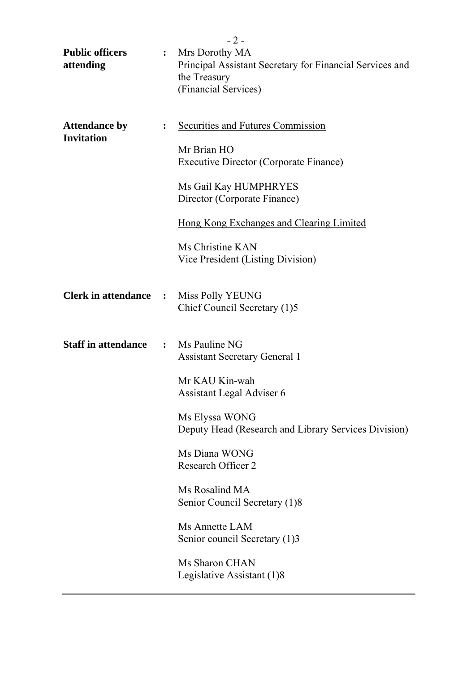|                                           |                | $-2-$                                                                                                              |  |  |
|-------------------------------------------|----------------|--------------------------------------------------------------------------------------------------------------------|--|--|
| <b>Public officers</b><br>attending       | $\ddot{\cdot}$ | Mrs Dorothy MA<br>Principal Assistant Secretary for Financial Services and<br>the Treasury<br>(Financial Services) |  |  |
| <b>Attendance by</b><br><b>Invitation</b> |                | Securities and Futures Commission<br>Mr Brian HO<br><b>Executive Director (Corporate Finance)</b>                  |  |  |
|                                           |                | Ms Gail Kay HUMPHRYES<br>Director (Corporate Finance)                                                              |  |  |
|                                           |                | Hong Kong Exchanges and Clearing Limited                                                                           |  |  |
|                                           |                | Ms Christine KAN<br>Vice President (Listing Division)                                                              |  |  |
| <b>Clerk in attendance :</b>              |                | <b>Miss Polly YEUNG</b><br>Chief Council Secretary (1)5                                                            |  |  |
| <b>Staff in attendance</b>                |                | $\therefore$ Ms Pauline NG<br><b>Assistant Secretary General 1</b>                                                 |  |  |
|                                           |                | Mr KAU Kin-wah<br>Assistant Legal Adviser 6                                                                        |  |  |
|                                           |                | Ms Elyssa WONG<br>Deputy Head (Research and Library Services Division)                                             |  |  |
|                                           |                | Ms Diana WONG<br>Research Officer 2                                                                                |  |  |
|                                           |                | Ms Rosalind MA<br>Senior Council Secretary (1)8                                                                    |  |  |
|                                           |                | Ms Annette LAM<br>Senior council Secretary (1)3                                                                    |  |  |
|                                           |                | Ms Sharon CHAN<br>Legislative Assistant (1)8                                                                       |  |  |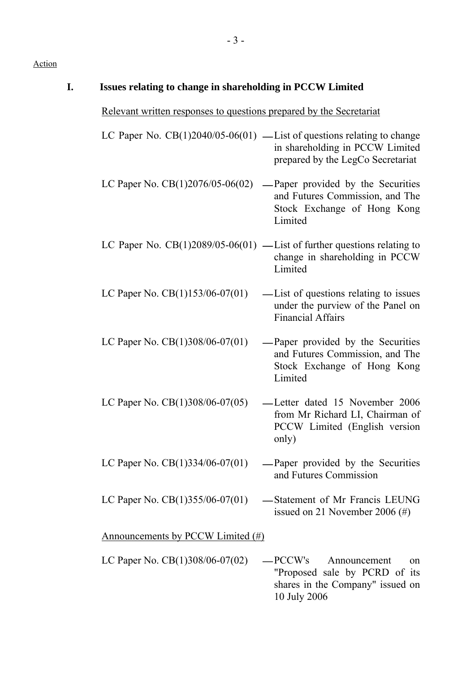| Issues relating to change in shareholding in PCCW Limited           |                                                                                                                                                   |
|---------------------------------------------------------------------|---------------------------------------------------------------------------------------------------------------------------------------------------|
| Relevant written responses to questions prepared by the Secretariat |                                                                                                                                                   |
|                                                                     | LC Paper No. $CB(1)2040/05-06(01)$ — List of questions relating to change<br>in shareholding in PCCW Limited<br>prepared by the LegCo Secretariat |
| LC Paper No. $CB(1)2076/05-06(02)$                                  | -Paper provided by the Securities<br>and Futures Commission, and The<br>Stock Exchange of Hong Kong<br>Limited                                    |
|                                                                     | LC Paper No. $CB(1)2089/05-06(01)$ — List of further questions relating to<br>change in shareholding in PCCW<br>Limited                           |
| LC Paper No. $CB(1)153/06-07(01)$                                   | — List of questions relating to issues<br>under the purview of the Panel on<br><b>Financial Affairs</b>                                           |
| LC Paper No. $CB(1)308/06-07(01)$                                   | -Paper provided by the Securities<br>and Futures Commission, and The<br>Stock Exchange of Hong Kong<br>Limited                                    |
| LC Paper No. CB(1)308/06-07(05)                                     | -Letter dated 15 November 2006<br>from Mr Richard LI, Chairman of<br>PCCW Limited (English version<br>only)                                       |
| LC Paper No. $CB(1)334/06-07(01)$                                   | -Paper provided by the Securities<br>and Futures Commission                                                                                       |
| LC Paper No. $CB(1)355/06-07(01)$                                   | -Statement of Mr Francis LEUNG<br>issued on 21 November 2006 $(\#)$                                                                               |
| Announcements by PCCW Limited (#)                                   |                                                                                                                                                   |
| LC Paper No. CB(1)308/06-07(02)                                     | —PCCW's<br>Announcement<br>on<br>"Proposed sale by PCRD of its<br>shares in the Company" issued on<br>10 July 2006                                |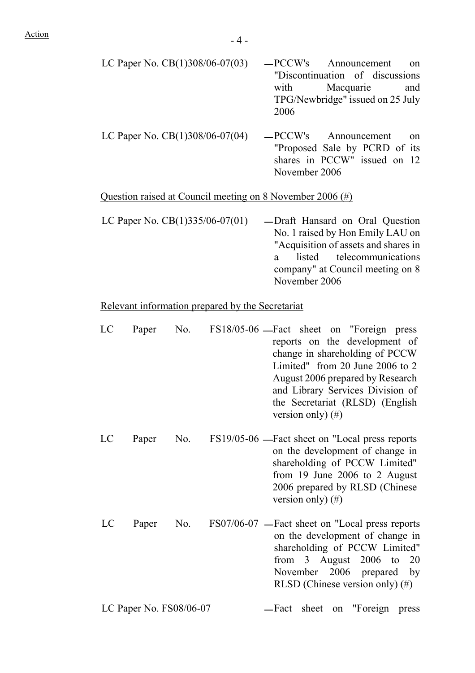| LC Paper No. $CB(1)308/06-07(03)$ | -PCCW's Announcement on |                                  |                                  |  |
|-----------------------------------|-------------------------|----------------------------------|----------------------------------|--|
|                                   |                         |                                  | "Discontinuation of discussions" |  |
|                                   |                         |                                  | with Macquarie and               |  |
|                                   |                         | TPG/Newbridge" issued on 25 July |                                  |  |
|                                   | 2006                    |                                  |                                  |  |
|                                   |                         |                                  |                                  |  |

LC Paper No.  $CB(1)308/06-07(04)$   $-PCCW's$  Announcement on "Proposed Sale by PCRD of its shares in PCCW" issued on 12 November 2006

#### Question raised at Council meeting on 8 November 2006 (#)

LC Paper No.  $CB(1)335/06-07(01)$  — Draft Hansard on Oral Question No. 1 raised by Hon Emily LAU on "Acquisition of assets and shares in a listed telecommunications company" at Council meeting on 8 November 2006

#### Relevant information prepared by the Secretariat

- LC Paper No. FS18/05-06 Fact sheet on "Foreign press reports on the development of change in shareholding of PCCW Limited" from 20 June 2006 to 2 August 2006 prepared by Research and Library Services Division of the Secretariat (RLSD) (English version only) (#) LC Paper No. FS19/05-06 —Fact sheet on "Local press reports on the development of change in shareholding of PCCW Limited" from 19 June 2006 to 2 August 2006 prepared by RLSD (Chinese
- LC Paper No. FS07/06-07 Fact sheet on "Local press reports on the development of change in shareholding of PCCW Limited" from 3 August 2006 to 20 November 2006 prepared by RLSD (Chinese version only) (#)

version only) (#)

LC Paper No. FS08/06-07 - Fact sheet on "Foreign press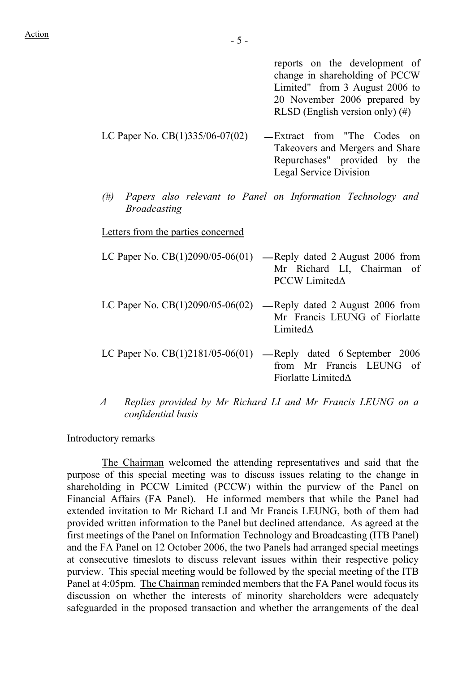reports on the development of change in shareholding of PCCW Limited" from 3 August 2006 to 20 November 2006 prepared by RLSD (English version only) (#)

- LC Paper No.  $CB(1)335/06-07(02)$  -Extract from "The Codes on Takeovers and Mergers and Share Repurchases" provided by the Legal Service Division
- *(#) Papers also relevant to Panel on Information Technology and Broadcasting*

Letters from the parties concerned

- LC Paper No.  $CB(1)2090/05-06(01)$  -Reply dated 2 August 2006 from Mr Richard LI, Chairman of PCCW Limited∆
- LC Paper No.  $CB(1)2090/05-06(02)$  -Reply dated 2 August 2006 from Mr Francis LEUNG of Fiorlatte Limited∆
- LC Paper No.  $CB(1)2181/05-06(01)$  Reply dated 6 September 2006 from Mr Francis LEUNG of Fiorlatte Limited∆
- *∆ Replies provided by Mr Richard LI and Mr Francis LEUNG on a confidential basis*

#### Introductory remarks

 The Chairman welcomed the attending representatives and said that the purpose of this special meeting was to discuss issues relating to the change in shareholding in PCCW Limited (PCCW) within the purview of the Panel on Financial Affairs (FA Panel). He informed members that while the Panel had extended invitation to Mr Richard LI and Mr Francis LEUNG, both of them had provided written information to the Panel but declined attendance. As agreed at the first meetings of the Panel on Information Technology and Broadcasting (ITB Panel) and the FA Panel on 12 October 2006, the two Panels had arranged special meetings at consecutive timeslots to discuss relevant issues within their respective policy purview. This special meeting would be followed by the special meeting of the ITB Panel at 4:05pm. The Chairman reminded members that the FA Panel would focus its discussion on whether the interests of minority shareholders were adequately safeguarded in the proposed transaction and whether the arrangements of the deal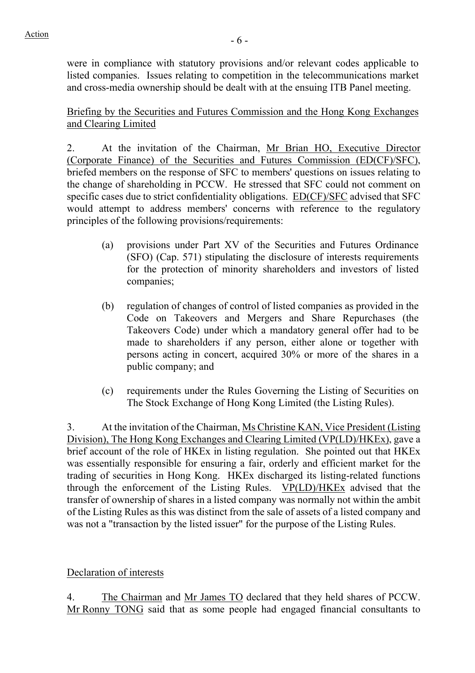were in compliance with statutory provisions and/or relevant codes applicable to listed companies. Issues relating to competition in the telecommunications market and cross-media ownership should be dealt with at the ensuing ITB Panel meeting.

Briefing by the Securities and Futures Commission and the Hong Kong Exchanges and Clearing Limited

2. At the invitation of the Chairman, Mr Brian HO, Executive Director (Corporate Finance) of the Securities and Futures Commission (ED(CF)/SFC), briefed members on the response of SFC to members' questions on issues relating to the change of shareholding in PCCW. He stressed that SFC could not comment on specific cases due to strict confidentiality obligations. ED(CF)/SFC advised that SFC would attempt to address members' concerns with reference to the regulatory principles of the following provisions/requirements:

- (a) provisions under Part XV of the Securities and Futures Ordinance (SFO) (Cap. 571) stipulating the disclosure of interests requirements for the protection of minority shareholders and investors of listed companies;
- (b) regulation of changes of control of listed companies as provided in the Code on Takeovers and Mergers and Share Repurchases (the Takeovers Code) under which a mandatory general offer had to be made to shareholders if any person, either alone or together with persons acting in concert, acquired 30% or more of the shares in a public company; and
- (c) requirements under the Rules Governing the Listing of Securities on The Stock Exchange of Hong Kong Limited (the Listing Rules).

3. At the invitation of the Chairman, Ms Christine KAN, Vice President (Listing Division), The Hong Kong Exchanges and Clearing Limited (VP(LD)/HKEx), gave a brief account of the role of HKEx in listing regulation. She pointed out that HKEx was essentially responsible for ensuring a fair, orderly and efficient market for the trading of securities in Hong Kong. HKEx discharged its listing-related functions through the enforcement of the Listing Rules. VP(LD)/HKEx advised that the transfer of ownership of shares in a listed company was normally not within the ambit of the Listing Rules as this was distinct from the sale of assets of a listed company and was not a "transaction by the listed issuer" for the purpose of the Listing Rules.

# Declaration of interests

4. The Chairman and Mr James TO declared that they held shares of PCCW. Mr Ronny TONG said that as some people had engaged financial consultants to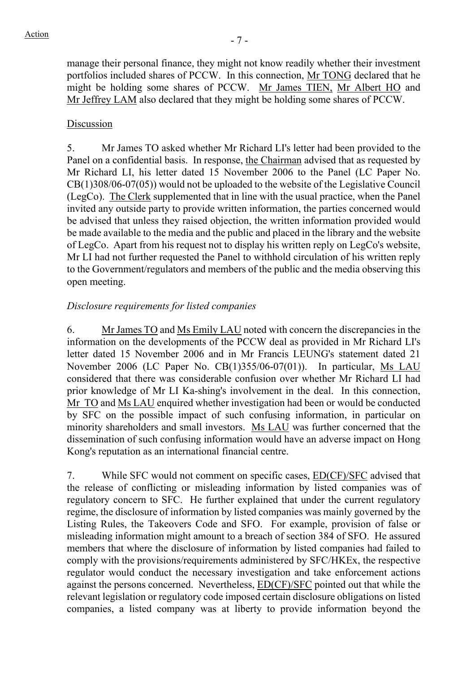manage their personal finance, they might not know readily whether their investment portfolios included shares of PCCW. In this connection, Mr TONG declared that he might be holding some shares of PCCW. Mr James TIEN, Mr Albert HO and Mr Jeffrey LAM also declared that they might be holding some shares of PCCW.

#### Discussion

5. Mr James TO asked whether Mr Richard LI's letter had been provided to the Panel on a confidential basis. In response, the Chairman advised that as requested by Mr Richard LI, his letter dated 15 November 2006 to the Panel (LC Paper No. CB(1)308/06-07(05)) would not be uploaded to the website of the Legislative Council (LegCo). The Clerk supplemented that in line with the usual practice, when the Panel invited any outside party to provide written information, the parties concerned would be advised that unless they raised objection, the written information provided would be made available to the media and the public and placed in the library and the website of LegCo. Apart from his request not to display his written reply on LegCo's website, Mr LI had not further requested the Panel to withhold circulation of his written reply to the Government/regulators and members of the public and the media observing this open meeting.

#### *Disclosure requirements for listed companies*

6. Mr James TO and Ms Emily LAU noted with concern the discrepancies in the information on the developments of the PCCW deal as provided in Mr Richard LI's letter dated 15 November 2006 and in Mr Francis LEUNG's statement dated 21 November 2006 (LC Paper No. CB(1)355/06-07(01)). In particular, Ms LAU considered that there was considerable confusion over whether Mr Richard LI had prior knowledge of Mr LI Ka-shing's involvement in the deal. In this connection, Mr TO and Ms LAU enquired whether investigation had been or would be conducted by SFC on the possible impact of such confusing information, in particular on minority shareholders and small investors. Ms LAU was further concerned that the dissemination of such confusing information would have an adverse impact on Hong Kong's reputation as an international financial centre.

7. While SFC would not comment on specific cases, ED(CF)/SFC advised that the release of conflicting or misleading information by listed companies was of regulatory concern to SFC. He further explained that under the current regulatory regime, the disclosure of information by listed companies was mainly governed by the Listing Rules, the Takeovers Code and SFO. For example, provision of false or misleading information might amount to a breach of section 384 of SFO. He assured members that where the disclosure of information by listed companies had failed to comply with the provisions/requirements administered by SFC/HKEx, the respective regulator would conduct the necessary investigation and take enforcement actions against the persons concerned. Nevertheless, ED(CF)/SFC pointed out that while the relevant legislation or regulatory code imposed certain disclosure obligations on listed companies, a listed company was at liberty to provide information beyond the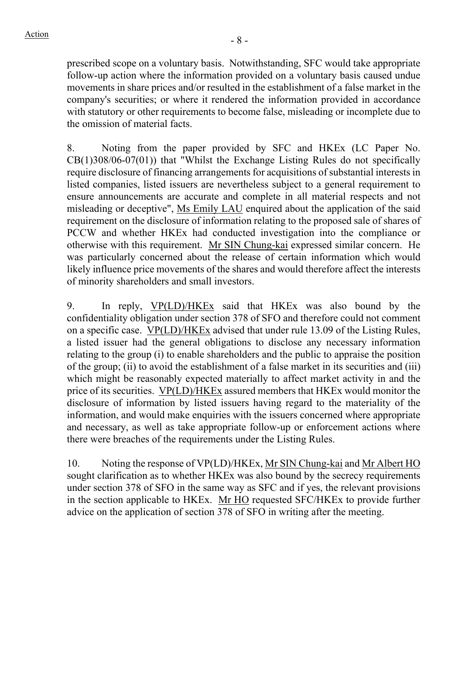prescribed scope on a voluntary basis. Notwithstanding, SFC would take appropriate follow-up action where the information provided on a voluntary basis caused undue movements in share prices and/or resulted in the establishment of a false market in the company's securities; or where it rendered the information provided in accordance with statutory or other requirements to become false, misleading or incomplete due to the omission of material facts.

8. Noting from the paper provided by SFC and HKEx (LC Paper No. CB(1)308/06-07(01)) that "Whilst the Exchange Listing Rules do not specifically require disclosure of financing arrangements for acquisitions of substantial interests in listed companies, listed issuers are nevertheless subject to a general requirement to ensure announcements are accurate and complete in all material respects and not misleading or deceptive", Ms Emily LAU enquired about the application of the said requirement on the disclosure of information relating to the proposed sale of shares of PCCW and whether HKEx had conducted investigation into the compliance or otherwise with this requirement. Mr SIN Chung-kai expressed similar concern. He was particularly concerned about the release of certain information which would likely influence price movements of the shares and would therefore affect the interests of minority shareholders and small investors.

9. In reply, VP(LD)/HKEx said that HKEx was also bound by the confidentiality obligation under section 378 of SFO and therefore could not comment on a specific case. VP(LD)/HKEx advised that under rule 13.09 of the Listing Rules, a listed issuer had the general obligations to disclose any necessary information relating to the group (i) to enable shareholders and the public to appraise the position of the group; (ii) to avoid the establishment of a false market in its securities and (iii) which might be reasonably expected materially to affect market activity in and the price of its securities. VP(LD)/HKEx assured members that HKEx would monitor the disclosure of information by listed issuers having regard to the materiality of the information, and would make enquiries with the issuers concerned where appropriate and necessary, as well as take appropriate follow-up or enforcement actions where there were breaches of the requirements under the Listing Rules.

10. Noting the response of VP(LD)/HKEx, Mr SIN Chung-kai and Mr Albert HO sought clarification as to whether HKEx was also bound by the secrecy requirements under section 378 of SFO in the same way as SFC and if yes, the relevant provisions in the section applicable to HKEx. Mr HO requested SFC/HKEx to provide further advice on the application of section 378 of SFO in writing after the meeting.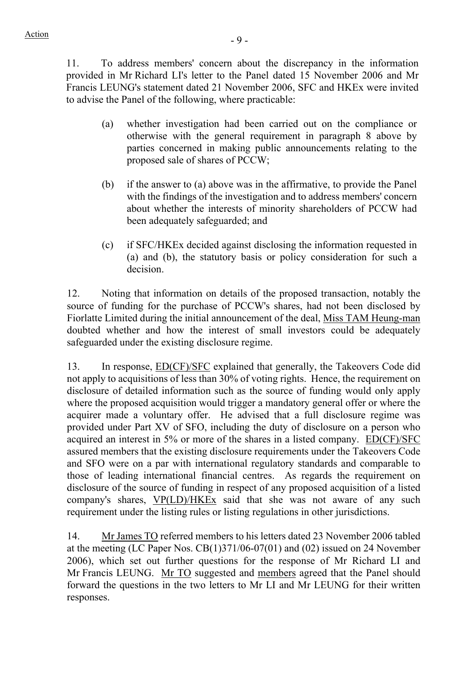11. To address members' concern about the discrepancy in the information provided in Mr Richard LI's letter to the Panel dated 15 November 2006 and Mr Francis LEUNG's statement dated 21 November 2006, SFC and HKEx were invited to advise the Panel of the following, where practicable:

- (a) whether investigation had been carried out on the compliance or otherwise with the general requirement in paragraph 8 above by parties concerned in making public announcements relating to the proposed sale of shares of PCCW;
- (b) if the answer to (a) above was in the affirmative, to provide the Panel with the findings of the investigation and to address members' concern about whether the interests of minority shareholders of PCCW had been adequately safeguarded; and
- (c) if SFC/HKEx decided against disclosing the information requested in (a) and (b), the statutory basis or policy consideration for such a decision.

12. Noting that information on details of the proposed transaction, notably the source of funding for the purchase of PCCW's shares, had not been disclosed by Fiorlatte Limited during the initial announcement of the deal, Miss TAM Heung-man doubted whether and how the interest of small investors could be adequately safeguarded under the existing disclosure regime.

13. In response, ED(CF)/SFC explained that generally, the Takeovers Code did not apply to acquisitions of less than 30% of voting rights. Hence, the requirement on disclosure of detailed information such as the source of funding would only apply where the proposed acquisition would trigger a mandatory general offer or where the acquirer made a voluntary offer. He advised that a full disclosure regime was provided under Part XV of SFO, including the duty of disclosure on a person who acquired an interest in 5% or more of the shares in a listed company. ED(CF)/SFC assured members that the existing disclosure requirements under the Takeovers Code and SFO were on a par with international regulatory standards and comparable to those of leading international financial centres. As regards the requirement on disclosure of the source of funding in respect of any proposed acquisition of a listed company's shares, VP(LD)/HKEx said that she was not aware of any such requirement under the listing rules or listing regulations in other jurisdictions.

14. Mr James TO referred members to his letters dated 23 November 2006 tabled at the meeting (LC Paper Nos. CB(1)371/06-07(01) and (02) issued on 24 November 2006), which set out further questions for the response of Mr Richard LI and Mr Francis LEUNG. Mr TO suggested and members agreed that the Panel should forward the questions in the two letters to Mr LI and Mr LEUNG for their written responses.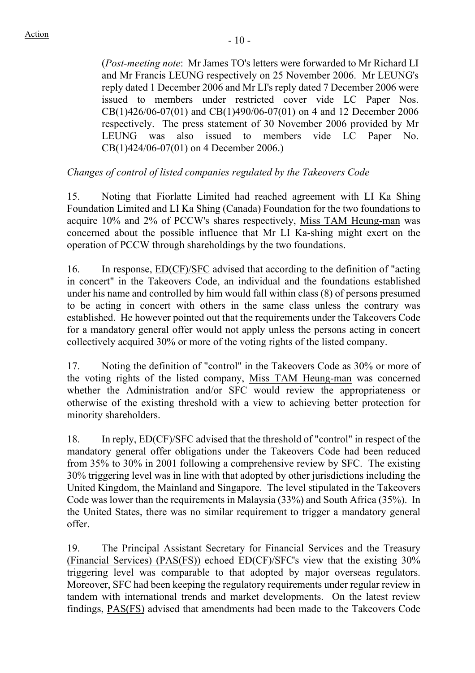(*Post-meeting note*: Mr James TO's letters were forwarded to Mr Richard LI and Mr Francis LEUNG respectively on 25 November 2006. Mr LEUNG's reply dated 1 December 2006 and Mr LI's reply dated 7 December 2006 were issued to members under restricted cover vide LC Paper Nos. CB(1)426/06-07(01) and CB(1)490/06-07(01) on 4 and 12 December 2006 respectively. The press statement of 30 November 2006 provided by Mr LEUNG was also issued to members vide LC Paper No. CB(1)424/06-07(01) on 4 December 2006.)

# *Changes of control of listed companies regulated by the Takeovers Code*

15. Noting that Fiorlatte Limited had reached agreement with LI Ka Shing Foundation Limited and LI Ka Shing (Canada) Foundation for the two foundations to acquire 10% and 2% of PCCW's shares respectively, Miss TAM Heung-man was concerned about the possible influence that Mr LI Ka-shing might exert on the operation of PCCW through shareholdings by the two foundations.

16. In response, ED(CF)/SFC advised that according to the definition of "acting in concert" in the Takeovers Code, an individual and the foundations established under his name and controlled by him would fall within class (8) of persons presumed to be acting in concert with others in the same class unless the contrary was established. He however pointed out that the requirements under the Takeovers Code for a mandatory general offer would not apply unless the persons acting in concert collectively acquired 30% or more of the voting rights of the listed company.

17. Noting the definition of "control" in the Takeovers Code as 30% or more of the voting rights of the listed company, Miss TAM Heung-man was concerned whether the Administration and/or SFC would review the appropriateness or otherwise of the existing threshold with a view to achieving better protection for minority shareholders.

18. In reply, ED(CF)/SFC advised that the threshold of "control" in respect of the mandatory general offer obligations under the Takeovers Code had been reduced from 35% to 30% in 2001 following a comprehensive review by SFC. The existing 30% triggering level was in line with that adopted by other jurisdictions including the United Kingdom, the Mainland and Singapore. The level stipulated in the Takeovers Code was lower than the requirements in Malaysia (33%) and South Africa (35%). In the United States, there was no similar requirement to trigger a mandatory general offer.

19. The Principal Assistant Secretary for Financial Services and the Treasury (Financial Services) (PAS(FS)) echoed ED(CF)/SFC's view that the existing 30% triggering level was comparable to that adopted by major overseas regulators. Moreover, SFC had been keeping the regulatory requirements under regular review in tandem with international trends and market developments. On the latest review findings, PAS(FS) advised that amendments had been made to the Takeovers Code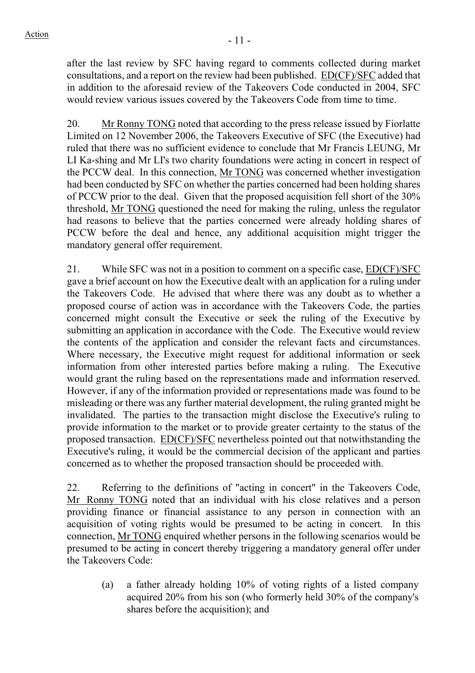after the last review by SFC having regard to comments collected during market consultations, and a report on the review had been published. ED(CF)/SFC added that in addition to the aforesaid review of the Takeovers Code conducted in 2004, SFC would review various issues covered by the Takeovers Code from time to time.

20. Mr Ronny TONG noted that according to the press release issued by Fiorlatte Limited on 12 November 2006, the Takeovers Executive of SFC (the Executive) had ruled that there was no sufficient evidence to conclude that Mr Francis LEUNG, Mr LI Ka-shing and Mr LI's two charity foundations were acting in concert in respect of the PCCW deal. In this connection, Mr TONG was concerned whether investigation had been conducted by SFC on whether the parties concerned had been holding shares of PCCW prior to the deal. Given that the proposed acquisition fell short of the 30% threshold, Mr TONG questioned the need for making the ruling, unless the regulator had reasons to believe that the parties concerned were already holding shares of PCCW before the deal and hence, any additional acquisition might trigger the mandatory general offer requirement.

21. While SFC was not in a position to comment on a specific case, ED(CF)/SFC gave a brief account on how the Executive dealt with an application for a ruling under the Takeovers Code. He advised that where there was any doubt as to whether a proposed course of action was in accordance with the Takeovers Code, the parties concerned might consult the Executive or seek the ruling of the Executive by submitting an application in accordance with the Code. The Executive would review the contents of the application and consider the relevant facts and circumstances. Where necessary, the Executive might request for additional information or seek information from other interested parties before making a ruling. The Executive would grant the ruling based on the representations made and information reserved. However, if any of the information provided or representations made was found to be misleading or there was any further material development, the ruling granted might be invalidated. The parties to the transaction might disclose the Executive's ruling to provide information to the market or to provide greater certainty to the status of the proposed transaction. ED(CF)/SFC nevertheless pointed out that notwithstanding the Executive's ruling, it would be the commercial decision of the applicant and parties concerned as to whether the proposed transaction should be proceeded with.

22. Referring to the definitions of "acting in concert" in the Takeovers Code, Mr Ronny TONG noted that an individual with his close relatives and a person providing finance or financial assistance to any person in connection with an acquisition of voting rights would be presumed to be acting in concert. In this connection, Mr TONG enquired whether persons in the following scenarios would be presumed to be acting in concert thereby triggering a mandatory general offer under the Takeovers Code:

(a) a father already holding 10% of voting rights of a listed company acquired 20% from his son (who formerly held 30% of the company's shares before the acquisition); and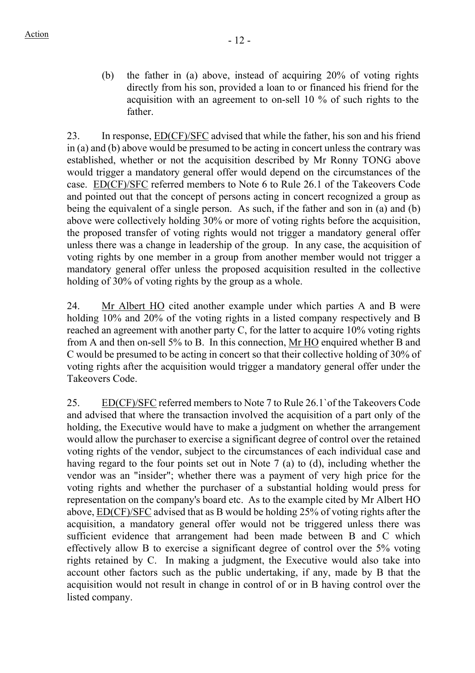(b) the father in (a) above, instead of acquiring 20% of voting rights directly from his son, provided a loan to or financed his friend for the acquisition with an agreement to on-sell 10 % of such rights to the father.

23. In response, ED(CF)/SFC advised that while the father, his son and his friend in (a) and (b) above would be presumed to be acting in concert unless the contrary was established, whether or not the acquisition described by Mr Ronny TONG above would trigger a mandatory general offer would depend on the circumstances of the case. ED(CF)/SFC referred members to Note 6 to Rule 26.1 of the Takeovers Code and pointed out that the concept of persons acting in concert recognized a group as being the equivalent of a single person. As such, if the father and son in (a) and (b) above were collectively holding 30% or more of voting rights before the acquisition, the proposed transfer of voting rights would not trigger a mandatory general offer unless there was a change in leadership of the group. In any case, the acquisition of voting rights by one member in a group from another member would not trigger a mandatory general offer unless the proposed acquisition resulted in the collective holding of 30% of voting rights by the group as a whole.

24. Mr Albert HO cited another example under which parties A and B were holding 10% and 20% of the voting rights in a listed company respectively and B reached an agreement with another party C, for the latter to acquire 10% voting rights from A and then on-sell 5% to B. In this connection, Mr HO enquired whether B and C would be presumed to be acting in concert so that their collective holding of 30% of voting rights after the acquisition would trigger a mandatory general offer under the Takeovers Code.

25. ED(CF)/SFC referred members to Note 7 to Rule 26.1`of the Takeovers Code and advised that where the transaction involved the acquisition of a part only of the holding, the Executive would have to make a judgment on whether the arrangement would allow the purchaser to exercise a significant degree of control over the retained voting rights of the vendor, subject to the circumstances of each individual case and having regard to the four points set out in Note 7 (a) to (d), including whether the vendor was an "insider"; whether there was a payment of very high price for the voting rights and whether the purchaser of a substantial holding would press for representation on the company's board etc. As to the example cited by Mr Albert HO above, ED(CF)/SFC advised that as B would be holding 25% of voting rights after the acquisition, a mandatory general offer would not be triggered unless there was sufficient evidence that arrangement had been made between B and C which effectively allow B to exercise a significant degree of control over the 5% voting rights retained by C. In making a judgment, the Executive would also take into account other factors such as the public undertaking, if any, made by B that the acquisition would not result in change in control of or in B having control over the listed company.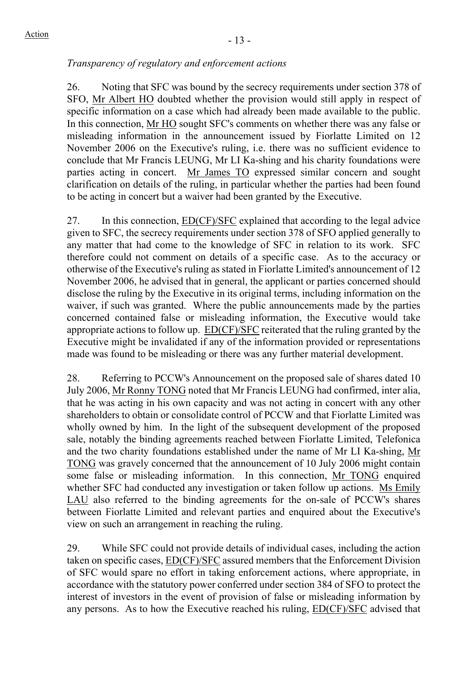## *Transparency of regulatory and enforcement actions*

26. Noting that SFC was bound by the secrecy requirements under section 378 of SFO, Mr Albert HO doubted whether the provision would still apply in respect of specific information on a case which had already been made available to the public. In this connection, Mr HO sought SFC's comments on whether there was any false or misleading information in the announcement issued by Fiorlatte Limited on 12 November 2006 on the Executive's ruling, i.e. there was no sufficient evidence to conclude that Mr Francis LEUNG, Mr LI Ka-shing and his charity foundations were parties acting in concert. Mr James TO expressed similar concern and sought clarification on details of the ruling, in particular whether the parties had been found to be acting in concert but a waiver had been granted by the Executive.

27. In this connection, ED(CF)/SFC explained that according to the legal advice given to SFC, the secrecy requirements under section 378 of SFO applied generally to any matter that had come to the knowledge of SFC in relation to its work. SFC therefore could not comment on details of a specific case. As to the accuracy or otherwise of the Executive's ruling as stated in Fiorlatte Limited's announcement of 12 November 2006, he advised that in general, the applicant or parties concerned should disclose the ruling by the Executive in its original terms, including information on the waiver, if such was granted. Where the public announcements made by the parties concerned contained false or misleading information, the Executive would take appropriate actions to follow up. ED(CF)/SFC reiterated that the ruling granted by the Executive might be invalidated if any of the information provided or representations made was found to be misleading or there was any further material development.

28. Referring to PCCW's Announcement on the proposed sale of shares dated 10 July 2006, Mr Ronny TONG noted that Mr Francis LEUNG had confirmed, inter alia, that he was acting in his own capacity and was not acting in concert with any other shareholders to obtain or consolidate control of PCCW and that Fiorlatte Limited was wholly owned by him. In the light of the subsequent development of the proposed sale, notably the binding agreements reached between Fiorlatte Limited, Telefonica and the two charity foundations established under the name of Mr LI Ka-shing, Mr TONG was gravely concerned that the announcement of 10 July 2006 might contain some false or misleading information. In this connection, Mr TONG enquired whether SFC had conducted any investigation or taken follow up actions. Ms Emily LAU also referred to the binding agreements for the on-sale of PCCW's shares between Fiorlatte Limited and relevant parties and enquired about the Executive's view on such an arrangement in reaching the ruling.

29. While SFC could not provide details of individual cases, including the action taken on specific cases, ED(CF)/SFC assured members that the Enforcement Division of SFC would spare no effort in taking enforcement actions, where appropriate, in accordance with the statutory power conferred under section 384 of SFO to protect the interest of investors in the event of provision of false or misleading information by any persons. As to how the Executive reached his ruling, ED(CF)/SFC advised that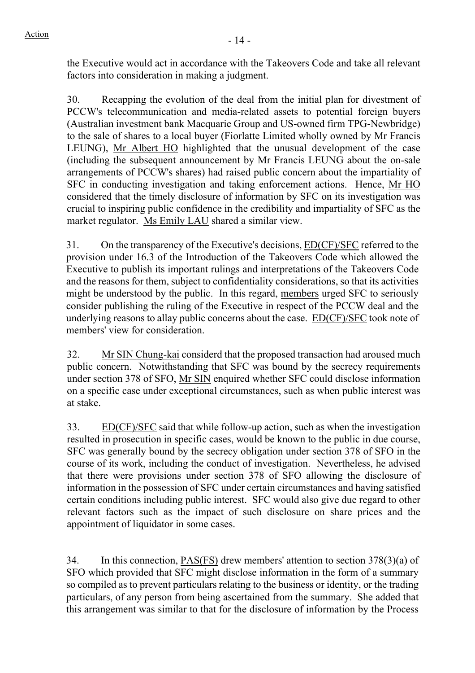the Executive would act in accordance with the Takeovers Code and take all relevant factors into consideration in making a judgment.

30. Recapping the evolution of the deal from the initial plan for divestment of PCCW's telecommunication and media-related assets to potential foreign buyers (Australian investment bank Macquarie Group and US-owned firm TPG-Newbridge) to the sale of shares to a local buyer (Fiorlatte Limited wholly owned by Mr Francis LEUNG), Mr Albert HO highlighted that the unusual development of the case (including the subsequent announcement by Mr Francis LEUNG about the on-sale arrangements of PCCW's shares) had raised public concern about the impartiality of SFC in conducting investigation and taking enforcement actions. Hence, Mr HO considered that the timely disclosure of information by SFC on its investigation was crucial to inspiring public confidence in the credibility and impartiality of SFC as the market regulator. Ms Emily LAU shared a similar view.

31. On the transparency of the Executive's decisions, **ED(CF)/SFC** referred to the provision under 16.3 of the Introduction of the Takeovers Code which allowed the Executive to publish its important rulings and interpretations of the Takeovers Code and the reasons for them, subject to confidentiality considerations, so that its activities might be understood by the public. In this regard, members urged SFC to seriously consider publishing the ruling of the Executive in respect of the PCCW deal and the underlying reasons to allay public concerns about the case. ED(CF)/SFC took note of members' view for consideration.

32. Mr SIN Chung-kai considerd that the proposed transaction had aroused much public concern. Notwithstanding that SFC was bound by the secrecy requirements under section 378 of SFO, Mr SIN enquired whether SFC could disclose information on a specific case under exceptional circumstances, such as when public interest was at stake.

33. ED(CF)/SFC said that while follow-up action, such as when the investigation resulted in prosecution in specific cases, would be known to the public in due course, SFC was generally bound by the secrecy obligation under section 378 of SFO in the course of its work, including the conduct of investigation. Nevertheless, he advised that there were provisions under section 378 of SFO allowing the disclosure of information in the possession of SFC under certain circumstances and having satisfied certain conditions including public interest. SFC would also give due regard to other relevant factors such as the impact of such disclosure on share prices and the appointment of liquidator in some cases.

34. In this connection, PAS(FS) drew members' attention to section 378(3)(a) of SFO which provided that SFC might disclose information in the form of a summary so compiled as to prevent particulars relating to the business or identity, or the trading particulars, of any person from being ascertained from the summary. She added that this arrangement was similar to that for the disclosure of information by the Process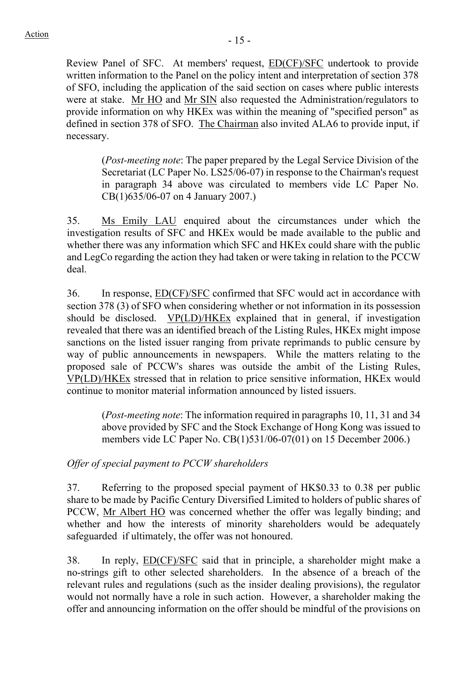Review Panel of SFC. At members' request, ED(CF)/SFC undertook to provide written information to the Panel on the policy intent and interpretation of section 378 of SFO, including the application of the said section on cases where public interests were at stake. Mr HO and Mr SIN also requested the Administration/regulators to provide information on why HKEx was within the meaning of "specified person" as defined in section 378 of SFO. The Chairman also invited ALA6 to provide input, if necessary.

(*Post-meeting note*: The paper prepared by the Legal Service Division of the Secretariat (LC Paper No. LS25/06-07) in response to the Chairman's request in paragraph 34 above was circulated to members vide LC Paper No. CB(1)635/06-07 on 4 January 2007.)

35. Ms Emily LAU enquired about the circumstances under which the investigation results of SFC and HKEx would be made available to the public and whether there was any information which SFC and HKEx could share with the public and LegCo regarding the action they had taken or were taking in relation to the PCCW deal.

36. In response, ED(CF)/SFC confirmed that SFC would act in accordance with section 378 (3) of SFO when considering whether or not information in its possession should be disclosed. VP(LD)/HKEx explained that in general, if investigation revealed that there was an identified breach of the Listing Rules, HKEx might impose sanctions on the listed issuer ranging from private reprimands to public censure by way of public announcements in newspapers. While the matters relating to the proposed sale of PCCW's shares was outside the ambit of the Listing Rules, VP(LD)/HKEx stressed that in relation to price sensitive information, HKEx would continue to monitor material information announced by listed issuers.

(*Post-meeting note*: The information required in paragraphs 10, 11, 31 and 34 above provided by SFC and the Stock Exchange of Hong Kong was issued to members vide LC Paper No. CB(1)531/06-07(01) on 15 December 2006.)

# *Offer of special payment to PCCW shareholders*

37. Referring to the proposed special payment of HK\$0.33 to 0.38 per public share to be made by Pacific Century Diversified Limited to holders of public shares of PCCW, Mr Albert HO was concerned whether the offer was legally binding; and whether and how the interests of minority shareholders would be adequately safeguarded if ultimately, the offer was not honoured.

38. In reply, ED(CF)/SFC said that in principle, a shareholder might make a no-strings gift to other selected shareholders. In the absence of a breach of the relevant rules and regulations (such as the insider dealing provisions), the regulator would not normally have a role in such action. However, a shareholder making the offer and announcing information on the offer should be mindful of the provisions on